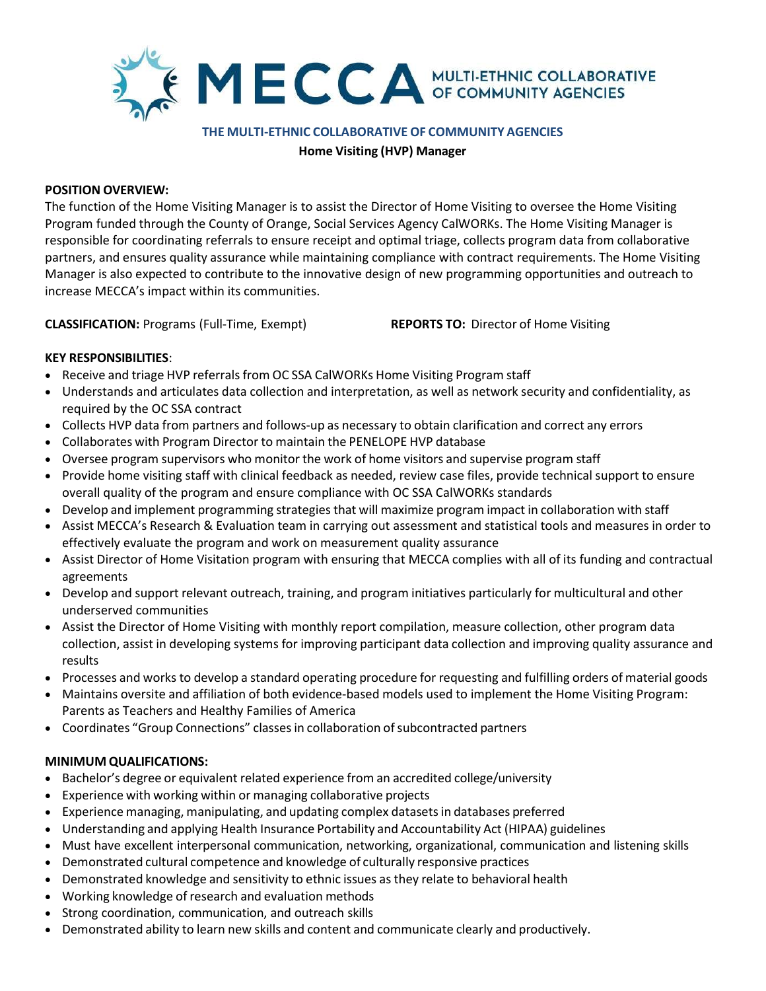

#### THE MULTI-ETHNIC COLLABORATIVE OF COMMUNITY AGENCIES

Home Visiting (HVP) Manager

### POSITION OVERVIEW:

The function of the Home Visiting Manager is to assist the Director of Home Visiting to oversee the Home Visiting Program funded through the County of Orange, Social Services Agency CalWORKs. The Home Visiting Manager is responsible for coordinating referrals to ensure receipt and optimal triage, collects program data from collaborative partners, and ensures quality assurance while maintaining compliance with contract requirements. The Home Visiting Manager is also expected to contribute to the innovative design of new programming opportunities and outreach to increase MECCA's impact within its communities.

CLASSIFICATION: Programs (Full-Time, Exempt) REPORTS TO: Director of Home Visiting

# KEY RESPONSIBILITIES:

- Receive and triage HVP referrals from OC SSA CalWORKs Home Visiting Program staff
- Understands and articulates data collection and interpretation, as well as network security and confidentiality, as required by the OC SSA contract
- Collects HVP data from partners and follows-up as necessary to obtain clarification and correct any errors
- Collaborates with Program Director to maintain the PENELOPE HVP database
- Oversee program supervisors who monitor the work of home visitors and supervise program staff
- Provide home visiting staff with clinical feedback as needed, review case files, provide technical support to ensure overall quality of the program and ensure compliance with OC SSA CalWORKs standards
- Develop and implement programming strategies that will maximize program impact in collaboration with staff
- Assist MECCA's Research & Evaluation team in carrying out assessment and statistical tools and measures in order to effectively evaluate the program and work on measurement quality assurance
- Assist Director of Home Visitation program with ensuring that MECCA complies with all of its funding and contractual agreements
- Develop and support relevant outreach, training, and program initiatives particularly for multicultural and other underserved communities
- Assist the Director of Home Visiting with monthly report compilation, measure collection, other program data collection, assist in developing systems for improving participant data collection and improving quality assurance and results
- Processes and works to develop a standard operating procedure for requesting and fulfilling orders of material goods
- Maintains oversite and affiliation of both evidence-based models used to implement the Home Visiting Program: Parents as Teachers and Healthy Families of America
- Coordinates "Group Connections" classes in collaboration of subcontracted partners

## MINIMUM QUALIFICATIONS:

- Bachelor's degree or equivalent related experience from an accredited college/university
- Experience with working within or managing collaborative projects
- Experience managing, manipulating, and updating complex datasets in databases preferred
- Understanding and applying Health Insurance Portability and Accountability Act (HIPAA) guidelines
- Must have excellent interpersonal communication, networking, organizational, communication and listening skills
- Demonstrated cultural competence and knowledge of culturally responsive practices
- Demonstrated knowledge and sensitivity to ethnic issues as they relate to behavioral health
- Working knowledge of research and evaluation methods
- Strong coordination, communication, and outreach skills
- Demonstrated ability to learn new skills and content and communicate clearly and productively.